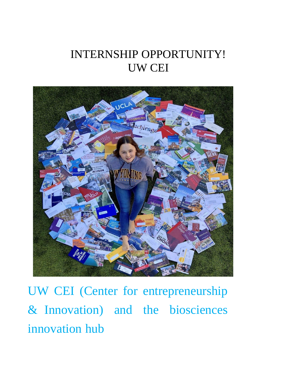# INTERNSHIP OPPORTUNITY! UW CEI



UW CEI (Center for entrepreneurship & Innovation) and the biosciences innovation hub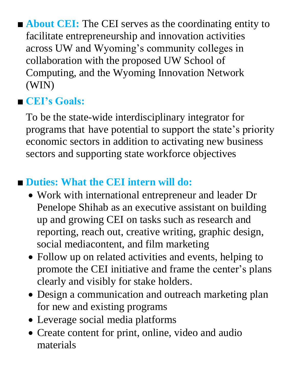■ **About CEI:** The CEI serves as the coordinating entity to facilitate entrepreneurship and innovation activities across UW and Wyoming's community colleges in collaboration with the proposed UW School of Computing, and the Wyoming Innovation Network (WIN)

## ■ **CEI's Goals:**

To be the state-wide interdisciplinary integrator for programs that have potential to support the state's priority economic sectors in addition to activating new business sectors and supporting state workforce objectives

# ■ **Duties: What the CEI intern will do:**

- Work with international entrepreneur and leader Dr Penelope Shihab as an executive assistant on building up and growing CEI on tasks such as research and reporting, reach out, creative writing, graphic design, social mediacontent, and film marketing
- Follow up on related activities and events, helping to promote the CEI initiative and frame the center's plans clearly and visibly for stake holders.
- Design a communication and outreach marketing plan for new and existing programs
- Leverage social media platforms
- Create content for print, online, video and audio materials